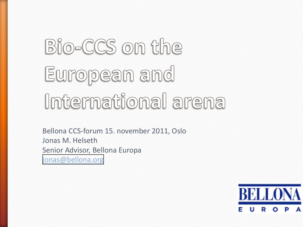# Bio-CCS on the European and International arena

Bellona CCS-forum 15. november 2011, Oslo Jonas M. Helseth Senior Advisor, Bellona Europa [jonas@bellona.org](mailto:jonas@bellona.org)

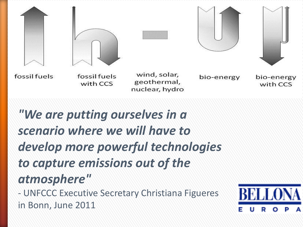

#### *"We\$are\$putting\$ourselves\$in\$a\$* scenario where we will have to develop more powerful technologies *to\$capture\$emissions\$out\$of\$the\$ atmosphere"* - UNFCCC Executive Secretary Christiana Figueres in Bonn, June 2011

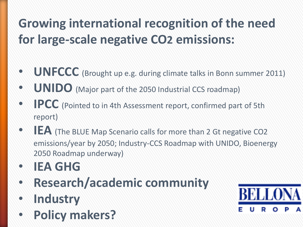#### **Growing international recognition of the need for large-scale negative CO2 emissions:**

- **UNFCCC** (Brought up e.g. during climate talks in Bonn summer 2011)
- **UNIDO** (Major part of the 2050 Industrial CCS roadmap)
- **IPCC** (Pointed to in 4th Assessment report, confirmed part of 5th report)
- **IEA** (The BLUE Map Scenario calls for more than 2 Gt negative CO2 emissions/year by 2050; Industry-CCS Roadmap with UNIDO, Bioenergy 2050 Roadmap underway)
- **· IEA GHG**
- **Research/academic community**
- **Industry**
- **Policy(makers?**

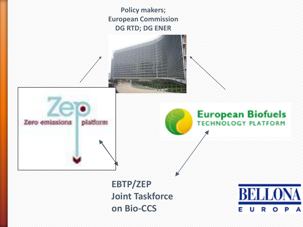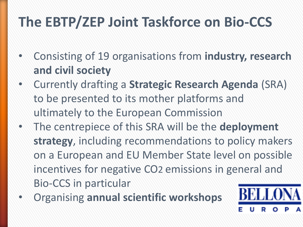### **The EBTP/ZEP Joint Taskforce on Bio-CCS**

- Consisting of 19 organisations from **industry, research** and civil society
- $\cdot$  Currently drafting a **Strategic Research Agenda** (SRA) to be presented to its mother platforms and ultimately to the European Commission
- The centrepiece of this SRA will be the **deployment** strategy, including recommendations to policy makers on a European and EU Member State level on possible incentives for negative CO2 emissions in general and Bio-CCS in particular
- **Organising annual scientific workshops**

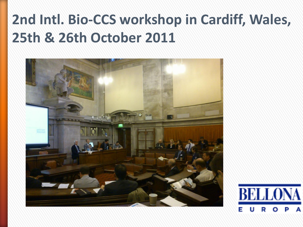### **2nd Intl. Bio-CCS workshop in Cardiff, Wales, 25th & 26th October 2011**



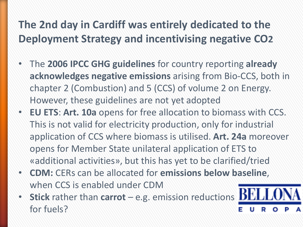#### The 2nd day in Cardiff was entirely dedicated to the **Deployment Strategy and incentivising negative CO2**

- The 2006 IPCC GHG guidelines for country reporting already **acknowledges negative emissions** arising from Bio-CCS, both in chapter 2 (Combustion) and 5 (CCS) of volume 2 on Energy. However, these guidelines are not yet adopted
- **EU ETS: Art. 10a** opens for free allocation to biomass with CCS. This is not valid for electricity production, only for industrial application of CCS where biomass is utilised. **Art. 24a** moreover opens for Member State unilateral application of ETS to «additional activities», but this has yet to be clarified/tried
- **CDM:** CERs can be allocated for **emissions below baseline**, when CCS is enabled under CDM
- Stick rather than carrot e.g. emission reductions **DL** for fuels?